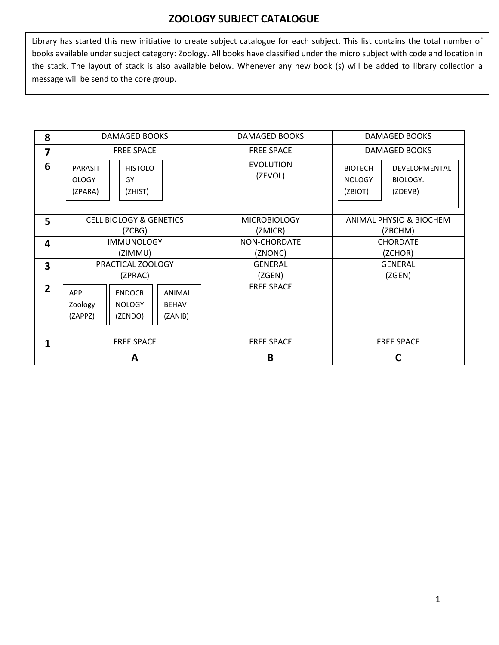## **ZOOLOGY SUBJECT CATALOGUE**

Library has started this new initiative to create subject catalogue for each subject. This list contains the total number of books available under subject category: Zoology. All books have classified under the micro subject with code and location in the stack. The layout of stack is also available below. Whenever any new book (s) will be added to library collection a message will be send to the core group.

| 8                       | <b>DAMAGED BOOKS</b>                                                                                          | <b>DAMAGED BOOKS</b>           | <b>DAMAGED BOOKS</b>                                                               |
|-------------------------|---------------------------------------------------------------------------------------------------------------|--------------------------------|------------------------------------------------------------------------------------|
| $\overline{\mathbf{z}}$ | <b>FREE SPACE</b>                                                                                             | <b>FREE SPACE</b>              | <b>DAMAGED BOOKS</b>                                                               |
| 6                       | <b>HISTOLO</b><br><b>PARASIT</b><br><b>OLOGY</b><br>GY<br>(ZPARA)<br>(ZHIST)                                  | <b>EVOLUTION</b><br>(ZEVOL)    | <b>BIOTECH</b><br>DEVELOPMENTAL<br><b>NOLOGY</b><br>BIOLOGY.<br>(ZBIOT)<br>(ZDEVB) |
| 5                       | <b>CELL BIOLOGY &amp; GENETICS</b><br>(ZCBG)                                                                  | <b>MICROBIOLOGY</b><br>(ZMICR) | ANIMAL PHYSIO & BIOCHEM<br>(ZBCHM)                                                 |
| $\overline{\mathbf{4}}$ | <b>IMMUNOLOGY</b><br>(ZIMMU)                                                                                  | NON-CHORDATE<br>(ZNONC)        | <b>CHORDATE</b><br>(ZCHOR)                                                         |
| $\overline{\mathbf{3}}$ | PRACTICAL ZOOLOGY<br>(ZPRAC)                                                                                  | <b>GENERAL</b><br>(ZGEN)       | <b>GENERAL</b><br>(ZGEN)                                                           |
| $2^{\circ}$             | APP.<br><b>ENDOCRI</b><br>ANIMAL<br><b>BEHAV</b><br>Zoology<br><b>NOLOGY</b><br>(ZAPPZ)<br>(ZENDO)<br>(ZANIB) | <b>FREE SPACE</b>              |                                                                                    |
| $\mathbf{1}$            | <b>FREE SPACE</b>                                                                                             | <b>FREE SPACE</b>              | <b>FREE SPACE</b>                                                                  |
|                         | A                                                                                                             | B                              | C                                                                                  |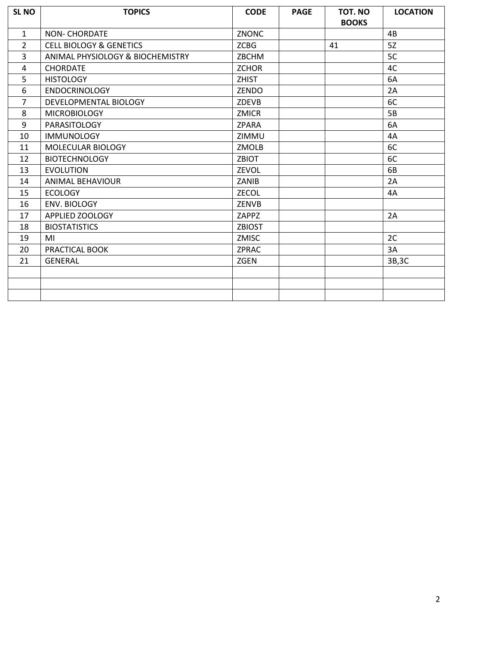| <b>SL NO</b>   | <b>TOPICS</b>                      | <b>CODE</b>   | <b>PAGE</b> | TOT. NO<br><b>BOOKS</b> | <b>LOCATION</b> |
|----------------|------------------------------------|---------------|-------------|-------------------------|-----------------|
| $\mathbf{1}$   | <b>NON- CHORDATE</b>               | ZNONC         |             |                         | 4B              |
| $\overline{2}$ | <b>CELL BIOLOGY &amp; GENETICS</b> | <b>ZCBG</b>   |             | 41                      | 5Z              |
| $\overline{3}$ | ANIMAL PHYSIOLOGY & BIOCHEMISTRY   | ZBCHM         |             |                         | 5C              |
| 4              | <b>CHORDATE</b>                    | <b>ZCHOR</b>  |             |                         | 4C              |
| 5              | <b>HISTOLOGY</b>                   | <b>ZHIST</b>  |             |                         | 6A              |
| 6              | <b>ENDOCRINOLOGY</b>               | ZENDO         |             |                         | 2A              |
| $\overline{7}$ | DEVELOPMENTAL BIOLOGY              | ZDEVB         |             |                         | 6C              |
| 8              | <b>MICROBIOLOGY</b>                | <b>ZMICR</b>  |             |                         | 5B              |
| 9              | <b>PARASITOLOGY</b>                | <b>ZPARA</b>  |             |                         | 6A              |
| 10             | <b>IMMUNOLOGY</b>                  | ZIMMU         |             |                         | 4A              |
| 11             | MOLECULAR BIOLOGY                  | ZMOLB         |             |                         | 6C              |
| 12             | <b>BIOTECHNOLOGY</b>               | <b>ZBIOT</b>  |             |                         | 6C              |
| 13             | <b>EVOLUTION</b>                   | ZEVOL         |             |                         | 6B              |
| 14             | <b>ANIMAL BEHAVIOUR</b>            | ZANIB         |             |                         | 2A              |
| 15             | <b>ECOLOGY</b>                     | ZECOL         |             |                         | 4A              |
| 16             | <b>ENV. BIOLOGY</b>                | ZENVB         |             |                         |                 |
| 17             | APPLIED ZOOLOGY                    | ZAPPZ         |             |                         | 2A              |
| 18             | <b>BIOSTATISTICS</b>               | <b>ZBIOST</b> |             |                         |                 |
| 19             | MI                                 | <b>ZMISC</b>  |             |                         | 2C              |
| 20             | PRACTICAL BOOK                     | <b>ZPRAC</b>  |             |                         | 3A              |
| 21             | <b>GENERAL</b>                     | <b>ZGEN</b>   |             |                         | 3B, 3C          |
|                |                                    |               |             |                         |                 |
|                |                                    |               |             |                         |                 |
|                |                                    |               |             |                         |                 |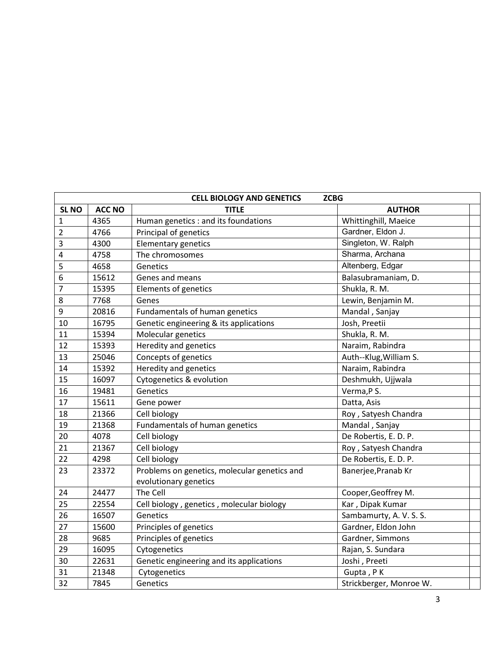|              |               | <b>CELL BIOLOGY AND GENETICS</b>             | <b>ZCBG</b>             |  |
|--------------|---------------|----------------------------------------------|-------------------------|--|
| <b>SL NO</b> | <b>ACC NO</b> | <b>TITLE</b>                                 | <b>AUTHOR</b>           |  |
| 1            | 4365          | Human genetics : and its foundations         | Whittinghill, Maeice    |  |
| 2            | 4766          | Principal of genetics                        | Gardner, Eldon J.       |  |
| 3            | 4300          | <b>Elementary genetics</b>                   | Singleton, W. Ralph     |  |
| 4            | 4758          | The chromosomes                              | Sharma, Archana         |  |
| 5            | 4658          | Genetics                                     | Altenberg, Edgar        |  |
| 6            | 15612         | Genes and means                              | Balasubramaniam, D.     |  |
| 7            | 15395         | Elements of genetics                         | Shukla, R. M.           |  |
| 8            | 7768          | Genes                                        | Lewin, Benjamin M.      |  |
| 9            | 20816         | Fundamentals of human genetics               | Mandal, Sanjay          |  |
| 10           | 16795         | Genetic engineering & its applications       | Josh, Preetii           |  |
| 11           | 15394         | Molecular genetics                           | Shukla, R. M.           |  |
| 12           | 15393         | Heredity and genetics                        | Naraim, Rabindra        |  |
| 13           | 25046         | Concepts of genetics                         | Auth--Klug, William S.  |  |
| 14           | 15392         | Heredity and genetics                        | Naraim, Rabindra        |  |
| 15           | 16097         | Cytogenetics & evolution                     | Deshmukh, Ujjwala       |  |
| 16           | 19481         | Genetics                                     | Verma, P S.             |  |
| 17           | 15611         | Gene power                                   | Datta, Asis             |  |
| 18           | 21366         | Cell biology                                 | Roy, Satyesh Chandra    |  |
| 19           | 21368         | Fundamentals of human genetics               | Mandal, Sanjay          |  |
| 20           | 4078          | Cell biology                                 | De Robertis, E. D. P.   |  |
| 21           | 21367         | Cell biology                                 | Roy, Satyesh Chandra    |  |
| 22           | 4298          | Cell biology                                 | De Robertis, E. D. P.   |  |
| 23           | 23372         | Problems on genetics, molecular genetics and | Banerjee, Pranab Kr     |  |
|              |               | evolutionary genetics                        |                         |  |
| 24           | 24477         | The Cell                                     | Cooper, Geoffrey M.     |  |
| 25           | 22554         | Cell biology, genetics, molecular biology    | Kar, Dipak Kumar        |  |
| 26           | 16507         | Genetics                                     | Sambamurty, A. V. S. S. |  |
| 27           | 15600         | Principles of genetics                       | Gardner, Eldon John     |  |
| 28           | 9685          | Principles of genetics                       | Gardner, Simmons        |  |
| 29           | 16095         | Cytogenetics                                 | Rajan, S. Sundara       |  |
| 30           | 22631         | Genetic engineering and its applications     | Joshi, Preeti           |  |
| 31           | 21348         | Cytogenetics                                 | Gupta, PK               |  |
| 32           | 7845          | Genetics                                     | Strickberger, Monroe W. |  |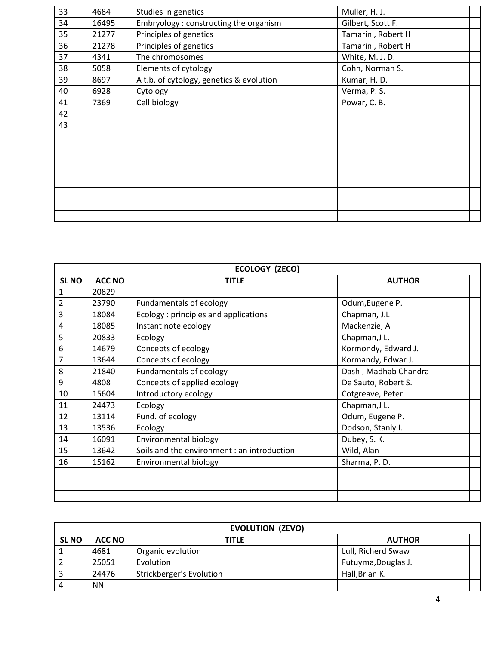| 33 | 4684  | Studies in genetics                      | Muller, H. J.     |  |
|----|-------|------------------------------------------|-------------------|--|
| 34 | 16495 | Embryology: constructing the organism    | Gilbert, Scott F. |  |
| 35 | 21277 | Principles of genetics                   | Tamarin, Robert H |  |
| 36 | 21278 | Principles of genetics                   | Tamarin, Robert H |  |
| 37 | 4341  | The chromosomes                          | White, M. J. D.   |  |
| 38 | 5058  | Elements of cytology                     | Cohn, Norman S.   |  |
| 39 | 8697  | A t.b. of cytology, genetics & evolution | Kumar, H. D.      |  |
| 40 | 6928  | Cytology                                 | Verma, P. S.      |  |
| 41 | 7369  | Cell biology                             | Powar, C. B.      |  |
| 42 |       |                                          |                   |  |
| 43 |       |                                          |                   |  |
|    |       |                                          |                   |  |
|    |       |                                          |                   |  |
|    |       |                                          |                   |  |
|    |       |                                          |                   |  |
|    |       |                                          |                   |  |
|    |       |                                          |                   |  |
|    |       |                                          |                   |  |
|    |       |                                          |                   |  |

|                | ECOLOGY (ZECO) |                                             |                      |  |
|----------------|----------------|---------------------------------------------|----------------------|--|
| <b>SL NO</b>   | <b>ACC NO</b>  | <b>TITLE</b>                                | <b>AUTHOR</b>        |  |
| 1              | 20829          |                                             |                      |  |
| 2              | 23790          | Fundamentals of ecology                     | Odum, Eugene P.      |  |
| 3              | 18084          | Ecology: principles and applications        | Chapman, J.L         |  |
| 4              | 18085          | Instant note ecology                        | Mackenzie, A         |  |
| 5              | 20833          | Ecology                                     | Chapman, JL.         |  |
| 6              | 14679          | Concepts of ecology                         | Kormondy, Edward J.  |  |
| $\overline{7}$ | 13644          | Concepts of ecology                         | Kormandy, Edwar J.   |  |
| 8              | 21840          | Fundamentals of ecology                     | Dash, Madhab Chandra |  |
| 9              | 4808           | Concepts of applied ecology                 | De Sauto, Robert S.  |  |
| 10             | 15604          | Introductory ecology                        | Cotgreave, Peter     |  |
| 11             | 24473          | Ecology                                     | Chapman, JL.         |  |
| 12             | 13114          | Fund. of ecology                            | Odum, Eugene P.      |  |
| 13             | 13536          | Ecology                                     | Dodson, Stanly I.    |  |
| 14             | 16091          | Environmental biology                       | Dubey, S. K.         |  |
| 15             | 13642          | Soils and the environment : an introduction | Wild, Alan           |  |
| 16             | 15162          | Environmental biology                       | Sharma, P.D.         |  |
|                |                |                                             |                      |  |
|                |                |                                             |                      |  |
|                |                |                                             |                      |  |

|              |               | <b>EVOLUTION (ZEVO)</b>  |                     |  |
|--------------|---------------|--------------------------|---------------------|--|
| <b>SL NO</b> | <b>ACC NO</b> | TITLE                    | <b>AUTHOR</b>       |  |
|              | 4681          | Organic evolution        | Lull, Richerd Swaw  |  |
|              | 25051         | Evolution                | Futuyma, Douglas J. |  |
|              | 24476         | Strickberger's Evolution | Hall, Brian K.      |  |
|              | ΝN            |                          |                     |  |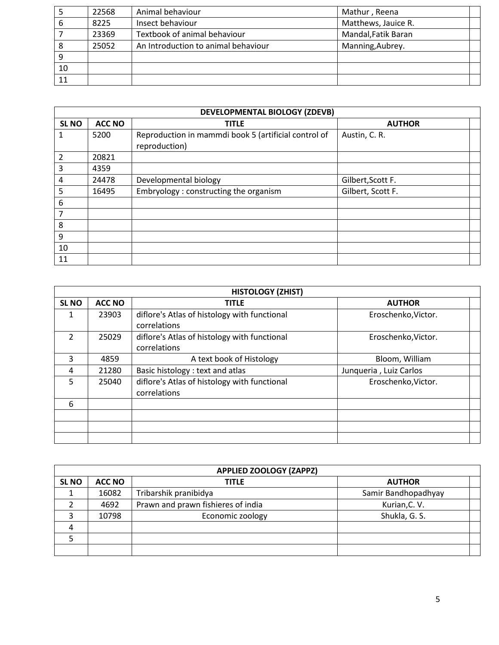|    | 22568 | Animal behaviour                    | Mathur, Reena       |  |
|----|-------|-------------------------------------|---------------------|--|
| 6  | 8225  | Insect behaviour                    | Matthews, Jauice R. |  |
|    | 23369 | Textbook of animal behaviour        | Mandal, Fatik Baran |  |
| 8  | 25052 | An Introduction to animal behaviour | Manning, Aubrey.    |  |
| 9  |       |                                     |                     |  |
| 10 |       |                                     |                     |  |
| 11 |       |                                     |                     |  |

|                | <b>DEVELOPMENTAL BIOLOGY (ZDEVB)</b> |                                                                       |                   |  |  |  |
|----------------|--------------------------------------|-----------------------------------------------------------------------|-------------------|--|--|--|
| <b>SL NO</b>   | <b>ACC NO</b>                        | <b>TITLE</b>                                                          | <b>AUTHOR</b>     |  |  |  |
| 1              | 5200                                 | Reproduction in mammdi book 5 (artificial control of<br>reproduction) | Austin, C. R.     |  |  |  |
| $\overline{2}$ | 20821                                |                                                                       |                   |  |  |  |
| 3              | 4359                                 |                                                                       |                   |  |  |  |
| 4              | 24478                                | Developmental biology                                                 | Gilbert, Scott F. |  |  |  |
| 5              | 16495                                | Embryology: constructing the organism                                 | Gilbert, Scott F. |  |  |  |
| 6              |                                      |                                                                       |                   |  |  |  |
| 7              |                                      |                                                                       |                   |  |  |  |
| 8              |                                      |                                                                       |                   |  |  |  |
| 9              |                                      |                                                                       |                   |  |  |  |
| 10             |                                      |                                                                       |                   |  |  |  |
| 11             |                                      |                                                                       |                   |  |  |  |

|                | <b>HISTOLOGY (ZHIST)</b> |                                                              |                        |  |
|----------------|--------------------------|--------------------------------------------------------------|------------------------|--|
| <b>SL NO</b>   | <b>ACC NO</b>            | <b>TITLE</b>                                                 | <b>AUTHOR</b>          |  |
| 1              | 23903                    | diflore's Atlas of histology with functional<br>correlations | Eroschenko, Victor.    |  |
| $\overline{2}$ | 25029                    | diflore's Atlas of histology with functional<br>correlations | Eroschenko, Victor.    |  |
| 3              | 4859                     | A text book of Histology                                     | Bloom, William         |  |
| 4              | 21280                    | Basic histology: text and atlas                              | Junqueria, Luiz Carlos |  |
| 5              | 25040                    | diflore's Atlas of histology with functional<br>correlations | Eroschenko, Victor.    |  |
| 6              |                          |                                                              |                        |  |
|                |                          |                                                              |                        |  |
|                |                          |                                                              |                        |  |
|                |                          |                                                              |                        |  |

|              | <b>APPLIED ZOOLOGY (ZAPPZ)</b> |                                    |                     |  |
|--------------|--------------------------------|------------------------------------|---------------------|--|
| <b>SL NO</b> | <b>ACC NO</b>                  | TITLE                              | <b>AUTHOR</b>       |  |
|              | 16082                          | Tribarshik pranibidya              | Samir Bandhopadhyay |  |
|              | 4692                           | Prawn and prawn fishieres of india | Kurian, C. V.       |  |
|              | 10798                          | Economic zoology                   | Shukla, G. S.       |  |
| 4            |                                |                                    |                     |  |
|              |                                |                                    |                     |  |
|              |                                |                                    |                     |  |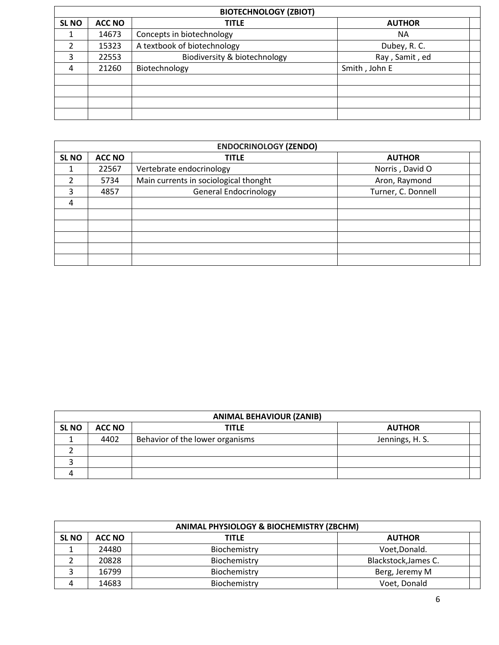|                  | <b>BIOTECHNOLOGY (ZBIOT)</b> |                              |                |  |
|------------------|------------------------------|------------------------------|----------------|--|
| SL <sub>NO</sub> | <b>ACC NO</b>                | <b>TITLE</b>                 | <b>AUTHOR</b>  |  |
|                  | 14673                        | Concepts in biotechnology    | <b>NA</b>      |  |
|                  | 15323                        | A textbook of biotechnology  | Dubey, R. C.   |  |
| 3                | 22553                        | Biodiversity & biotechnology | Ray, Samit, ed |  |
| $\overline{4}$   | 21260                        | Biotechnology                | Smith, John E  |  |
|                  |                              |                              |                |  |
|                  |                              |                              |                |  |
|                  |                              |                              |                |  |
|                  |                              |                              |                |  |

|                  | <b>ENDOCRINOLOGY (ZENDO)</b> |                                       |                    |  |
|------------------|------------------------------|---------------------------------------|--------------------|--|
| SL <sub>NO</sub> | <b>ACC NO</b>                | <b>TITLE</b>                          | <b>AUTHOR</b>      |  |
|                  | 22567                        | Vertebrate endocrinology              | Norris, David O    |  |
| 2                | 5734                         | Main currents in sociological thonght | Aron, Raymond      |  |
| 3                | 4857                         | <b>General Endocrinology</b>          | Turner, C. Donnell |  |
| 4                |                              |                                       |                    |  |
|                  |                              |                                       |                    |  |
|                  |                              |                                       |                    |  |
|                  |                              |                                       |                    |  |
|                  |                              |                                       |                    |  |
|                  |                              |                                       |                    |  |

|              | <b>ANIMAL BEHAVIOUR (ZANIB)</b> |                                 |                 |  |
|--------------|---------------------------------|---------------------------------|-----------------|--|
| <b>SL NO</b> | ACC NO                          | TITLE                           | <b>AUTHOR</b>   |  |
|              | 4402                            | Behavior of the lower organisms | Jennings, H. S. |  |
|              |                                 |                                 |                 |  |
|              |                                 |                                 |                 |  |
|              |                                 |                                 |                 |  |

|              | ANIMAL PHYSIOLOGY & BIOCHEMISTRY (ZBCHM) |              |                      |  |
|--------------|------------------------------------------|--------------|----------------------|--|
| <b>SL NO</b> | ACC NO                                   | <b>TITLE</b> | <b>AUTHOR</b>        |  |
|              | 24480                                    | Biochemistry | Voet, Donald.        |  |
|              | 20828                                    | Biochemistry | Blackstock, James C. |  |
|              | 16799                                    | Biochemistry | Berg, Jeremy M       |  |
|              | 14683                                    | Biochemistry | Voet, Donald         |  |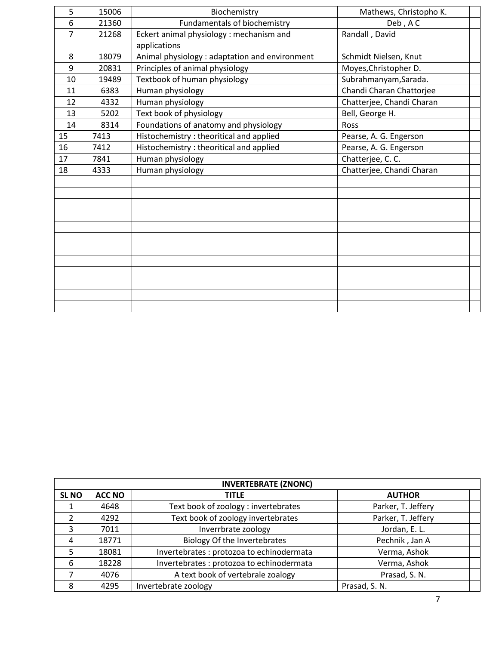| 5  | 15006 | Biochemistry                                   | Mathews, Christopho K.    |  |
|----|-------|------------------------------------------------|---------------------------|--|
| 6  | 21360 | Fundamentals of biochemistry                   | Deb, AC                   |  |
| 7  | 21268 | Eckert animal physiology : mechanism and       | Randall, David            |  |
|    |       | applications                                   |                           |  |
| 8  | 18079 | Animal physiology : adaptation and environment | Schmidt Nielsen, Knut     |  |
| 9  | 20831 | Principles of animal physiology                | Moyes, Christopher D.     |  |
| 10 | 19489 | Textbook of human physiology                   | Subrahmanyam, Sarada.     |  |
| 11 | 6383  | Human physiology                               | Chandi Charan Chattorjee  |  |
| 12 | 4332  | Human physiology                               | Chatterjee, Chandi Charan |  |
| 13 | 5202  | Text book of physiology                        | Bell, George H.           |  |
| 14 | 8314  | Foundations of anatomy and physiology          | Ross                      |  |
| 15 | 7413  | Histochemistry: theoritical and applied        | Pearse, A. G. Engerson    |  |
| 16 | 7412  | Histochemistry : theoritical and applied       | Pearse, A. G. Engerson    |  |
| 17 | 7841  | Human physiology                               | Chatterjee, C. C.         |  |
| 18 | 4333  | Human physiology                               | Chatterjee, Chandi Charan |  |
|    |       |                                                |                           |  |
|    |       |                                                |                           |  |
|    |       |                                                |                           |  |
|    |       |                                                |                           |  |
|    |       |                                                |                           |  |
|    |       |                                                |                           |  |
|    |       |                                                |                           |  |
|    |       |                                                |                           |  |
|    |       |                                                |                           |  |
|    |       |                                                |                           |  |
|    |       |                                                |                           |  |
|    |       |                                                |                           |  |

|                  | <b>INVERTEBRATE (ZNONC)</b> |                                           |                    |  |  |
|------------------|-----------------------------|-------------------------------------------|--------------------|--|--|
| SL <sub>NO</sub> | <b>ACC NO</b>               | <b>TITLE</b>                              | <b>AUTHOR</b>      |  |  |
|                  | 4648                        | Text book of zoology: invertebrates       | Parker, T. Jeffery |  |  |
| $\mathcal{P}$    | 4292                        | Text book of zoology invertebrates        | Parker, T. Jeffery |  |  |
| 3                | 7011                        | Inverrbrate zoology                       | Jordan, E. L.      |  |  |
| 4                | 18771                       | Biology Of the Invertebrates              | Pechnik, Jan A     |  |  |
| 5.               | 18081                       | Invertebrates : protozoa to echinodermata | Verma, Ashok       |  |  |
| 6                | 18228                       | Invertebrates : protozoa to echinodermata | Verma, Ashok       |  |  |
|                  | 4076                        | A text book of vertebrale zoalogy         | Prasad, S. N.      |  |  |
| 8                | 4295                        | Invertebrate zoology                      | Prasad, S. N.      |  |  |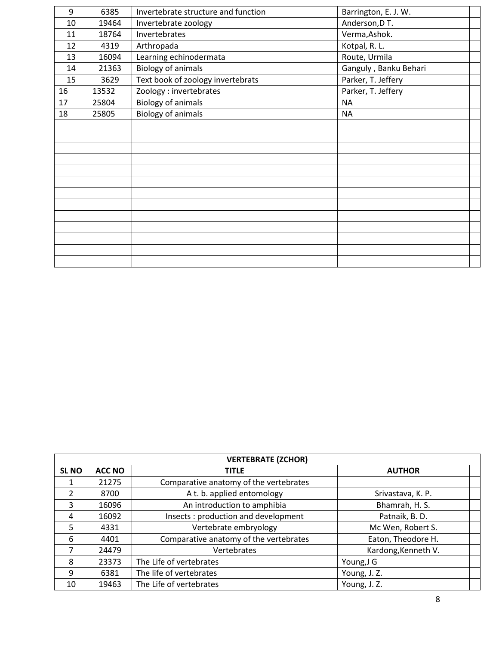| 9  | 6385  | Invertebrate structure and function | Barrington, E. J. W.  |  |
|----|-------|-------------------------------------|-----------------------|--|
| 10 | 19464 | Invertebrate zoology                | Anderson, D T.        |  |
| 11 | 18764 | Invertebrates                       | Verma, Ashok.         |  |
| 12 | 4319  | Arthropada                          | Kotpal, R. L.         |  |
| 13 | 16094 | Learning echinodermata              | Route, Urmila         |  |
| 14 | 21363 | <b>Biology of animals</b>           | Ganguly, Banku Behari |  |
| 15 | 3629  | Text book of zoology invertebrats   | Parker, T. Jeffery    |  |
| 16 | 13532 | Zoology : invertebrates             | Parker, T. Jeffery    |  |
| 17 | 25804 | <b>Biology of animals</b>           | <b>NA</b>             |  |
| 18 | 25805 | <b>Biology of animals</b>           | <b>NA</b>             |  |
|    |       |                                     |                       |  |
|    |       |                                     |                       |  |
|    |       |                                     |                       |  |
|    |       |                                     |                       |  |
|    |       |                                     |                       |  |
|    |       |                                     |                       |  |
|    |       |                                     |                       |  |
|    |       |                                     |                       |  |
|    |       |                                     |                       |  |
|    |       |                                     |                       |  |
|    |       |                                     |                       |  |
|    |       |                                     |                       |  |
|    |       |                                     |                       |  |

|               | <b>VERTEBRATE (ZCHOR)</b> |                                        |                     |  |  |
|---------------|---------------------------|----------------------------------------|---------------------|--|--|
| <b>SL NO</b>  | <b>ACC NO</b>             | <b>TITLE</b>                           | <b>AUTHOR</b>       |  |  |
|               | 21275                     | Comparative anatomy of the vertebrates |                     |  |  |
| $\mathcal{P}$ | 8700                      | A t. b. applied entomology             | Srivastava, K. P.   |  |  |
| 3             | 16096                     | An introduction to amphibia            | Bhamrah, H. S.      |  |  |
| 4             | 16092                     | Insects: production and development    | Patnaik, B.D.       |  |  |
| 5             | 4331                      | Vertebrate embryology                  | Mc Wen, Robert S.   |  |  |
| 6             | 4401                      | Comparative anatomy of the vertebrates | Eaton, Theodore H.  |  |  |
| 7             | 24479                     | Vertebrates                            | Kardong, Kenneth V. |  |  |
| 8             | 23373                     | The Life of vertebrates                | Young, J G          |  |  |
| 9             | 6381                      | The life of vertebrates                | Young, J. Z.        |  |  |
| 10            | 19463                     | The Life of vertebrates                | Young, J. Z.        |  |  |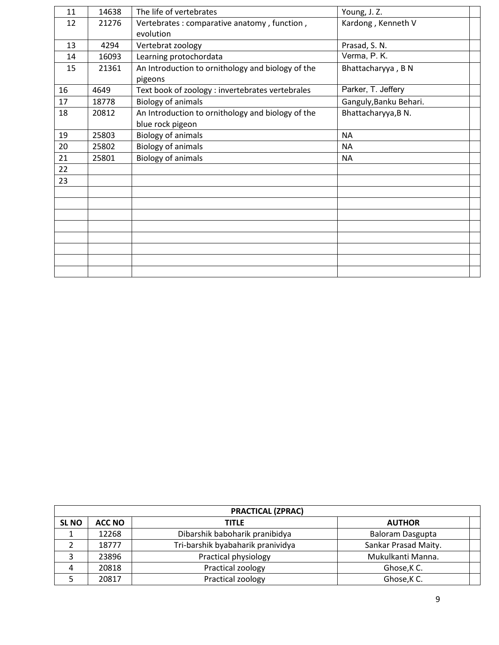| 11 | 14638 | The life of vertebrates                           | Young, J. Z.           |  |
|----|-------|---------------------------------------------------|------------------------|--|
| 12 | 21276 | Vertebrates : comparative anatomy, function,      | Kardong, Kenneth V     |  |
|    |       | evolution                                         |                        |  |
| 13 | 4294  | Vertebrat zoology                                 | Prasad, S. N.          |  |
| 14 | 16093 | Learning protochordata                            | Verma, P. K.           |  |
| 15 | 21361 | An Introduction to ornithology and biology of the | Bhattacharyya, BN      |  |
|    |       | pigeons                                           |                        |  |
| 16 | 4649  | Text book of zoology : invertebrates vertebrales  | Parker, T. Jeffery     |  |
| 17 | 18778 | <b>Biology of animals</b>                         | Ganguly, Banku Behari. |  |
| 18 | 20812 | An Introduction to ornithology and biology of the | Bhattacharyya, BN.     |  |
|    |       | blue rock pigeon                                  |                        |  |
| 19 | 25803 | <b>Biology of animals</b>                         | <b>NA</b>              |  |
| 20 | 25802 | <b>Biology of animals</b>                         | <b>NA</b>              |  |
| 21 | 25801 | <b>Biology of animals</b>                         | <b>NA</b>              |  |
| 22 |       |                                                   |                        |  |
| 23 |       |                                                   |                        |  |
|    |       |                                                   |                        |  |
|    |       |                                                   |                        |  |
|    |       |                                                   |                        |  |
|    |       |                                                   |                        |  |
|    |       |                                                   |                        |  |
|    |       |                                                   |                        |  |
|    |       |                                                   |                        |  |
|    |       |                                                   |                        |  |
|    |       |                                                   |                        |  |

|              | <b>PRACTICAL (ZPRAC)</b> |                                   |                         |  |  |
|--------------|--------------------------|-----------------------------------|-------------------------|--|--|
| <b>SL NO</b> | <b>ACC NO</b>            | <b>TITLE</b>                      | <b>AUTHOR</b>           |  |  |
|              | 12268                    | Dibarshik baboharik pranibidya    | <b>Baloram Dasgupta</b> |  |  |
|              | 18777                    | Tri-barshik byabaharik pranividya | Sankar Prasad Maity.    |  |  |
|              | 23896                    | Practical physiology              | Mukulkanti Manna.       |  |  |
|              | 20818                    | Practical zoology                 | Ghose, K C.             |  |  |
|              | 20817                    | Practical zoology                 | Ghose, K C.             |  |  |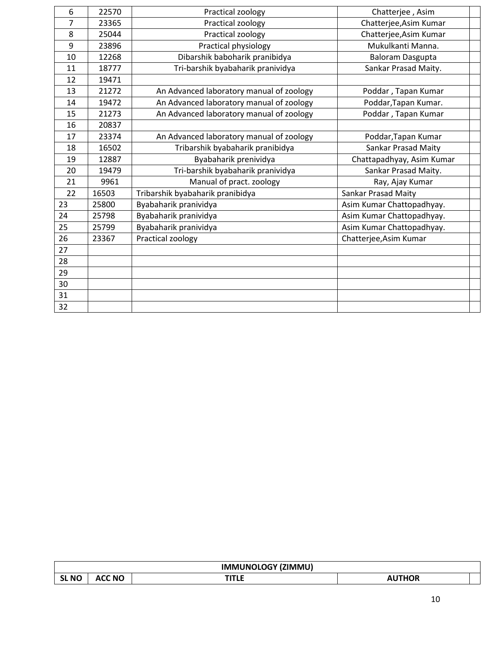| 6  | 22570 | Practical zoology                        | Chatterjee, Asim           |  |
|----|-------|------------------------------------------|----------------------------|--|
| 7  | 23365 | Practical zoology                        | Chatterjee, Asim Kumar     |  |
| 8  | 25044 | Practical zoology                        | Chatterjee, Asim Kumar     |  |
| 9  | 23896 | Practical physiology                     | Mukulkanti Manna.          |  |
| 10 | 12268 | Dibarshik baboharik pranibidya           | Baloram Dasgupta           |  |
| 11 | 18777 | Tri-barshik byabaharik pranividya        | Sankar Prasad Maity.       |  |
| 12 | 19471 |                                          |                            |  |
| 13 | 21272 | An Advanced laboratory manual of zoology | Poddar, Tapan Kumar        |  |
| 14 | 19472 | An Advanced laboratory manual of zoology | Poddar, Tapan Kumar.       |  |
| 15 | 21273 | An Advanced laboratory manual of zoology | Poddar, Tapan Kumar        |  |
| 16 | 20837 |                                          |                            |  |
| 17 | 23374 | An Advanced laboratory manual of zoology | Poddar, Tapan Kumar        |  |
| 18 | 16502 | Tribarshik byabaharik pranibidya         | Sankar Prasad Maity        |  |
| 19 | 12887 | Byabaharik prenividya                    | Chattapadhyay, Asim Kumar  |  |
| 20 | 19479 | Tri-barshik byabaharik pranividya        | Sankar Prasad Maity.       |  |
| 21 | 9961  | Manual of pract. zoology                 | Ray, Ajay Kumar            |  |
| 22 | 16503 | Tribarshik byabaharik pranibidya         | <b>Sankar Prasad Maity</b> |  |
| 23 | 25800 | Byabaharik pranividya                    | Asim Kumar Chattopadhyay.  |  |
| 24 | 25798 | Byabaharik pranividya                    | Asim Kumar Chattopadhyay.  |  |
| 25 | 25799 | Byabaharik pranividya                    | Asim Kumar Chattopadhyay.  |  |
| 26 | 23367 | Practical zoology                        | Chatterjee, Asim Kumar     |  |
| 27 |       |                                          |                            |  |
| 28 |       |                                          |                            |  |
| 29 |       |                                          |                            |  |
| 30 |       |                                          |                            |  |
| 31 |       |                                          |                            |  |
| 32 |       |                                          |                            |  |

|              | <b>IMMUNOLOGY (ZIMMU)</b> |          |           |  |
|--------------|---------------------------|----------|-----------|--|
| <b>SL NO</b> | <b>ACC NO</b>             | - 1<br>. | THOR<br>∼ |  |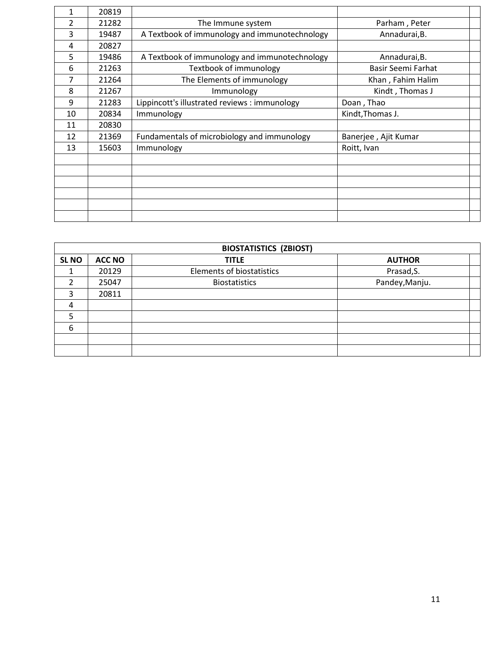| 1  | 20819 |                                               |                      |  |
|----|-------|-----------------------------------------------|----------------------|--|
| 2  | 21282 | The Immune system                             | Parham, Peter        |  |
| 3  | 19487 | A Textbook of immunology and immunotechnology | Annadurai, B.        |  |
| 4  | 20827 |                                               |                      |  |
| 5  | 19486 | A Textbook of immunology and immunotechnology | Annadurai, B.        |  |
| 6  | 21263 | Textbook of immunology                        | Basir Seemi Farhat   |  |
| 7  | 21264 | The Elements of immunology                    | Khan, Fahim Halim    |  |
| 8  | 21267 | Immunology                                    | Kindt, Thomas J      |  |
| 9  | 21283 | Lippincott's illustrated reviews : immunology | Doan, Thao           |  |
| 10 | 20834 | Immunology                                    | Kindt, Thomas J.     |  |
| 11 | 20830 |                                               |                      |  |
| 12 | 21369 | Fundamentals of microbiology and immunology   | Banerjee, Ajit Kumar |  |
| 13 | 15603 | Immunology                                    | Roitt, Ivan          |  |
|    |       |                                               |                      |  |
|    |       |                                               |                      |  |
|    |       |                                               |                      |  |
|    |       |                                               |                      |  |
|    |       |                                               |                      |  |
|    |       |                                               |                      |  |

|              | <b>BIOSTATISTICS (ZBIOST)</b> |                                  |                |  |  |
|--------------|-------------------------------|----------------------------------|----------------|--|--|
| <b>SL NO</b> | <b>ACC NO</b>                 | <b>TITLE</b>                     | <b>AUTHOR</b>  |  |  |
|              | 20129                         | <b>Elements of biostatistics</b> | Prasad, S.     |  |  |
|              | 25047                         | <b>Biostatistics</b>             | Pandey, Manju. |  |  |
| 3            | 20811                         |                                  |                |  |  |
| 4            |                               |                                  |                |  |  |
| 5            |                               |                                  |                |  |  |
| 6            |                               |                                  |                |  |  |
|              |                               |                                  |                |  |  |
|              |                               |                                  |                |  |  |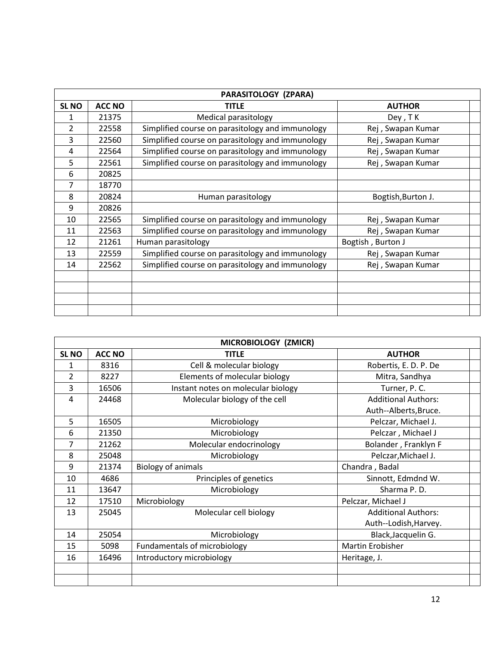|                |               | PARASITOLOGY (ZPARA)                             |                    |  |
|----------------|---------------|--------------------------------------------------|--------------------|--|
| <b>SL NO</b>   | <b>ACC NO</b> | <b>TITLE</b>                                     | <b>AUTHOR</b>      |  |
| 1              | 21375         | Medical parasitology                             | Dey, TK            |  |
| $\overline{2}$ | 22558         | Simplified course on parasitology and immunology | Rej, Swapan Kumar  |  |
| 3              | 22560         | Simplified course on parasitology and immunology | Rej, Swapan Kumar  |  |
| 4              | 22564         | Simplified course on parasitology and immunology | Rej, Swapan Kumar  |  |
| 5              | 22561         | Simplified course on parasitology and immunology | Rej, Swapan Kumar  |  |
| 6              | 20825         |                                                  |                    |  |
| 7              | 18770         |                                                  |                    |  |
| 8              | 20824         | Human parasitology                               | Bogtish, Burton J. |  |
| 9              | 20826         |                                                  |                    |  |
| 10             | 22565         | Simplified course on parasitology and immunology | Rej, Swapan Kumar  |  |
| 11             | 22563         | Simplified course on parasitology and immunology | Rej, Swapan Kumar  |  |
| 12             | 21261         | Human parasitology                               | Bogtish, Burton J  |  |
| 13             | 22559         | Simplified course on parasitology and immunology | Rej, Swapan Kumar  |  |
| 14             | 22562         | Simplified course on parasitology and immunology | Rej, Swapan Kumar  |  |
|                |               |                                                  |                    |  |
|                |               |                                                  |                    |  |
|                |               |                                                  |                    |  |
|                |               |                                                  |                    |  |

|                  | MICROBIOLOGY (ZMICR) |                                    |                            |  |  |
|------------------|----------------------|------------------------------------|----------------------------|--|--|
| SL <sub>NO</sub> | <b>ACC NO</b>        | <b>TITLE</b>                       | <b>AUTHOR</b>              |  |  |
| 1                | 8316                 | Cell & molecular biology           | Robertis, E. D. P. De      |  |  |
| $\overline{2}$   | 8227                 | Elements of molecular biology      | Mitra, Sandhya             |  |  |
| 3                | 16506                | Instant notes on molecular biology | Turner, P.C.               |  |  |
| 4                | 24468                | Molecular biology of the cell      | <b>Additional Authors:</b> |  |  |
|                  |                      |                                    | Auth--Alberts, Bruce.      |  |  |
| 5                | 16505                | Microbiology                       | Pelczar, Michael J.        |  |  |
| 6                | 21350                | Microbiology                       | Pelczar, Michael J         |  |  |
| 7                | 21262                | Molecular endocrinology            | Bolander, Franklyn F       |  |  |
| 8                | 25048                | Microbiology                       | Pelczar, Michael J.        |  |  |
| 9                | 21374                | <b>Biology of animals</b>          | Chandra, Badal             |  |  |
| 10               | 4686                 | Principles of genetics             | Sinnott, Edmdnd W.         |  |  |
| 11               | 13647                | Microbiology                       | Sharma P.D.                |  |  |
| 12               | 17510                | Microbiology                       | Pelczar, Michael J         |  |  |
| 13               | 25045                | Molecular cell biology             | <b>Additional Authors:</b> |  |  |
|                  |                      |                                    | Auth--Lodish, Harvey.      |  |  |
| 14               | 25054                | Microbiology                       | Black, Jacquelin G.        |  |  |
| 15               | 5098                 | Fundamentals of microbiology       | Martin Erobisher           |  |  |
| 16               | 16496                | Introductory microbiology          | Heritage, J.               |  |  |
|                  |                      |                                    |                            |  |  |
|                  |                      |                                    |                            |  |  |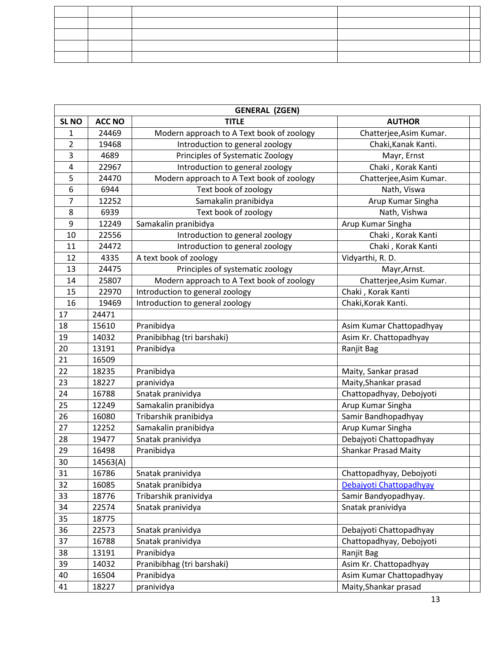|                | <b>GENERAL (ZGEN)</b> |                                           |                             |  |  |
|----------------|-----------------------|-------------------------------------------|-----------------------------|--|--|
| <b>SL NO</b>   | <b>ACC NO</b>         | <b>TITLE</b>                              | <b>AUTHOR</b>               |  |  |
| 1              | 24469                 | Modern approach to A Text book of zoology | Chatterjee, Asim Kumar.     |  |  |
| $\overline{2}$ | 19468                 | Introduction to general zoology           | Chaki, Kanak Kanti.         |  |  |
| 3              | 4689                  | Principles of Systematic Zoology          | Mayr, Ernst                 |  |  |
| 4              | 22967                 | Introduction to general zoology           | Chaki, Korak Kanti          |  |  |
| 5              | 24470                 | Modern approach to A Text book of zoology | Chatterjee, Asim Kumar.     |  |  |
| 6              | 6944                  | Text book of zoology                      | Nath, Viswa                 |  |  |
| 7              | 12252                 | Samakalin pranibidya                      | Arup Kumar Singha           |  |  |
| 8              | 6939                  | Text book of zoology                      | Nath, Vishwa                |  |  |
| 9              | 12249                 | Samakalin pranibidya                      | Arup Kumar Singha           |  |  |
| 10             | 22556                 | Introduction to general zoology           | Chaki, Korak Kanti          |  |  |
| 11             | 24472                 | Introduction to general zoology           | Chaki, Korak Kanti          |  |  |
| 12             | 4335                  | A text book of zoology                    | Vidyarthi, R. D.            |  |  |
| 13             | 24475                 | Principles of systematic zoology          | Mayr, Arnst.                |  |  |
| 14             | 25807                 | Modern approach to A Text book of zoology | Chatterjee, Asim Kumar.     |  |  |
| 15             | 22970                 | Introduction to general zoology           | Chaki, Korak Kanti          |  |  |
| 16             | 19469                 | Introduction to general zoology           | Chaki, Korak Kanti.         |  |  |
| 17             | 24471                 |                                           |                             |  |  |
| 18             | 15610                 | Pranibidya                                | Asim Kumar Chattopadhyay    |  |  |
| 19             | 14032                 | Pranibibhag (tri barshaki)                | Asim Kr. Chattopadhyay      |  |  |
| 20             | 13191                 | Pranibidya                                | Ranjit Bag                  |  |  |
| 21             | 16509                 |                                           |                             |  |  |
| 22             | 18235                 | Pranibidya                                | Maity, Sankar prasad        |  |  |
| 23             | 18227                 | pranividya                                | Maity, Shankar prasad       |  |  |
| 24             | 16788                 | Snatak pranividya                         | Chattopadhyay, Debojyoti    |  |  |
| 25             | 12249                 | Samakalin pranibidya                      | Arup Kumar Singha           |  |  |
| 26             | 16080                 | Tribarshik pranibidya                     | Samir Bandhopadhyay         |  |  |
| 27             | 12252                 | Samakalin pranibidya                      | Arup Kumar Singha           |  |  |
| 28             | 19477                 | Snatak pranividya                         | Debajyoti Chattopadhyay     |  |  |
| 29             | 16498                 | Pranibidya                                | <b>Shankar Prasad Maity</b> |  |  |
| 30             | 14563(A)              |                                           |                             |  |  |
| 31             | 16786                 | Snatak pranividya                         | Chattopadhyay, Debojyoti    |  |  |
| 32             | 16085                 | Snatak pranibidya                         | Debajyoti Chattopadhyay     |  |  |
| 33             | 18776                 | Tribarshik pranividya                     | Samir Bandyopadhyay.        |  |  |
| 34             | 22574                 | Snatak pranividya                         | Snatak pranividya           |  |  |
| 35             | 18775                 |                                           |                             |  |  |
| 36             | 22573                 | Snatak pranividya                         | Debajyoti Chattopadhyay     |  |  |
| 37             | 16788                 | Snatak pranividya                         | Chattopadhyay, Debojyoti    |  |  |
| 38             | 13191                 | Pranibidya                                | Ranjit Bag                  |  |  |
| 39             | 14032                 | Pranibibhag (tri barshaki)                | Asim Kr. Chattopadhyay      |  |  |
| 40             | 16504                 | Pranibidya                                | Asim Kumar Chattopadhyay    |  |  |
| 41             | 18227                 | pranividya                                | Maity, Shankar prasad       |  |  |